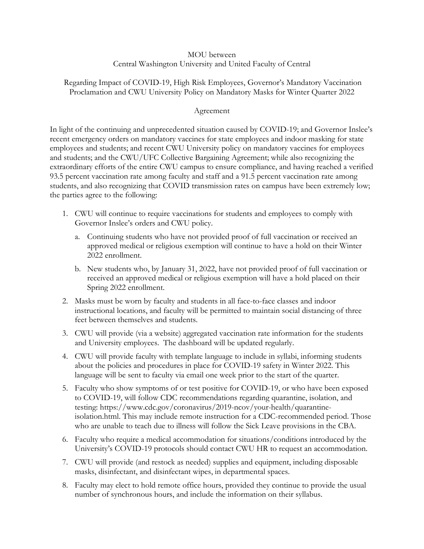## MOU between Central Washington University and United Faculty of Central

## Regarding Impact of COVID-19, High Risk Employees, Governor's Mandatory Vaccination Proclamation and CWU University Policy on Mandatory Masks for Winter Quarter 2022

## Agreement

In light of the continuing and unprecedented situation caused by COVID-19; and Governor Inslee's recent emergency orders on mandatory vaccines for state employees and indoor masking for state employees and students; and recent CWU University policy on mandatory vaccines for employees and students; and the CWU/UFC Collective Bargaining Agreement; while also recognizing the extraordinary efforts of the entire CWU campus to ensure compliance, and having reached a verified 93.5 percent vaccination rate among faculty and staff and a 91.5 percent vaccination rate among students, and also recognizing that COVID transmission rates on campus have been extremely low; the parties agree to the following:

- 1. CWU will continue to require vaccinations for students and employees to comply with Governor Inslee's orders and CWU policy.
	- a. Continuing students who have not provided proof of full vaccination or received an approved medical or religious exemption will continue to have a hold on their Winter 2022 enrollment.
	- b. New students who, by January 31, 2022, have not provided proof of full vaccination or received an approved medical or religious exemption will have a hold placed on their Spring 2022 enrollment.
- 2. Masks must be worn by faculty and students in all face-to-face classes and indoor instructional locations, and faculty will be permitted to maintain social distancing of three feet between themselves and students.
- 3. CWU will provide (via a website) aggregated vaccination rate information for the students and University employees. The dashboard will be updated regularly.
- 4. CWU will provide faculty with template language to include in syllabi, informing students about the policies and procedures in place for COVID-19 safety in Winter 2022. This language will be sent to faculty via email one week prior to the start of the quarter.
- 5. Faculty who show symptoms of or test positive for COVID-19, or who have been exposed to COVID-19, will follow CDC recommendations regarding quarantine, isolation, and testing: https://www.cdc.gov/coronavirus/2019-ncov/your-health/quarantineisolation.html. This may include remote instruction for a CDC-recommended period. Those who are unable to teach due to illness will follow the Sick Leave provisions in the CBA.
- 6. Faculty who require a medical accommodation for situations/conditions introduced by the University's COVID-19 protocols should contact CWU HR to request an accommodation.
- 7. CWU will provide (and restock as needed) supplies and equipment, including disposable masks, disinfectant, and disinfectant wipes, in departmental spaces.
- 8. Faculty may elect to hold remote office hours, provided they continue to provide the usual number of synchronous hours, and include the information on their syllabus.